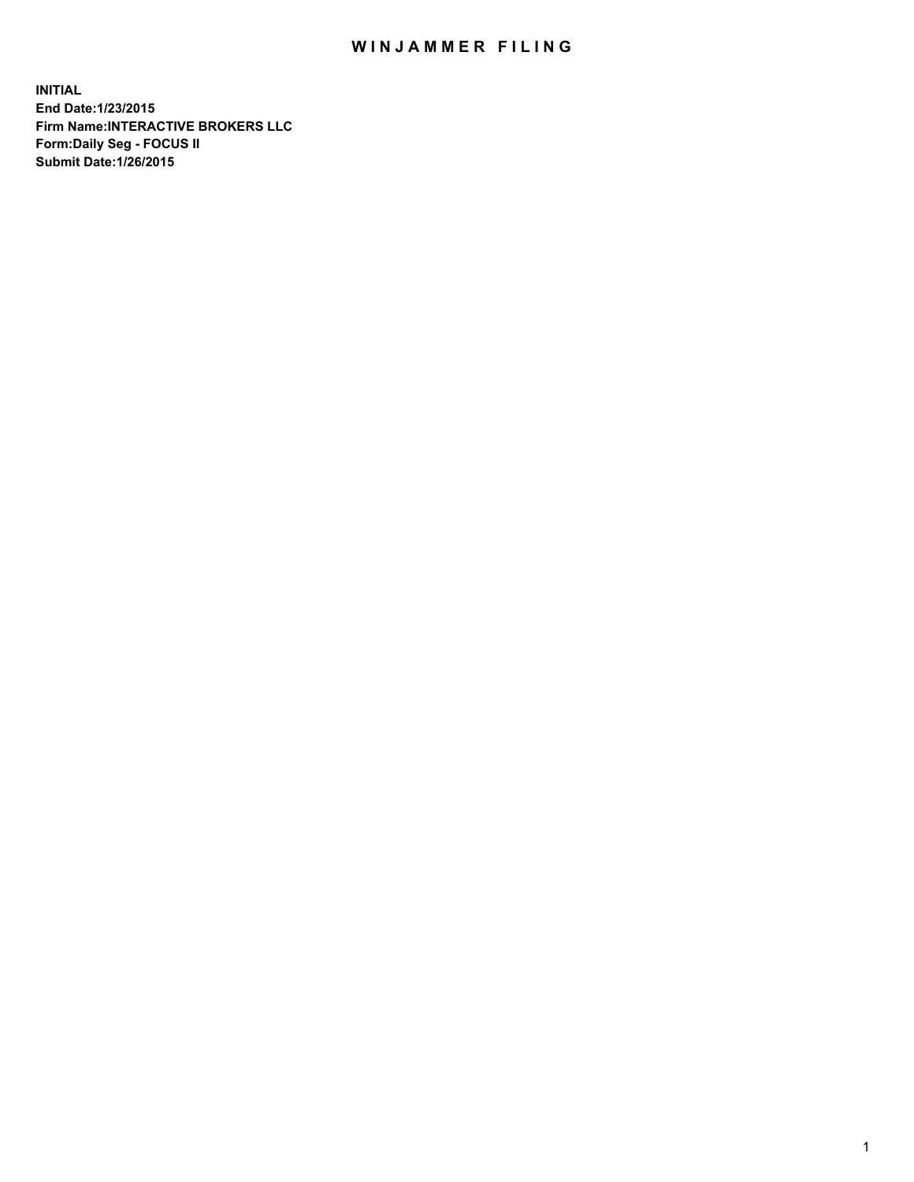## WIN JAMMER FILING

**INITIAL End Date:1/23/2015 Firm Name:INTERACTIVE BROKERS LLC Form:Daily Seg - FOCUS II Submit Date:1/26/2015**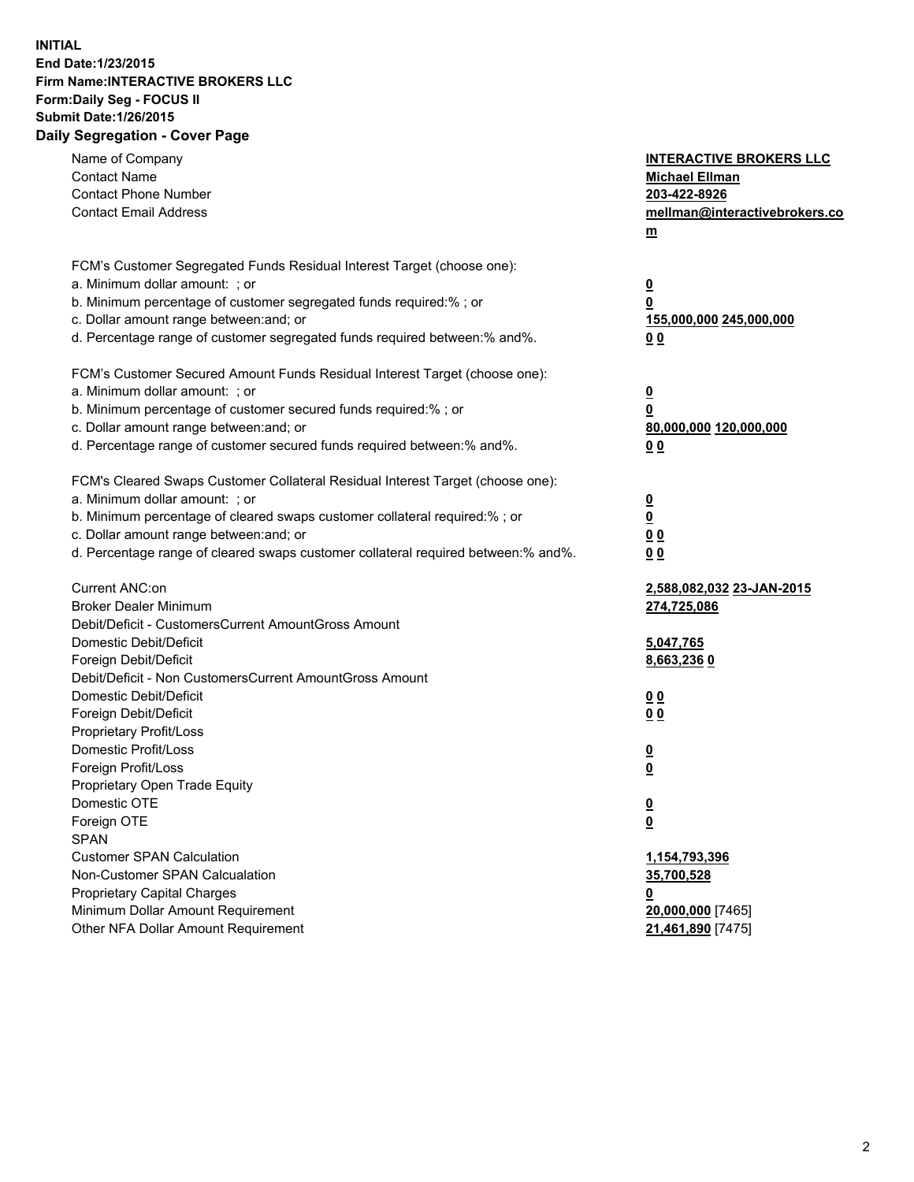## **INITIAL End Date:1/23/2015 Firm Name:INTERACTIVE BROKERS LLC Form:Daily Seg - FOCUS II Submit Date:1/26/2015 Daily Segregation - Cover Page**

| Name of Company<br><b>Contact Name</b><br><b>Contact Phone Number</b><br><b>Contact Email Address</b>                                                                                                                                                                                                                          | <b>INTERACTIVE BROKERS LLC</b><br><b>Michael Ellman</b><br>203-422-8926<br>mellman@interactivebrokers.co<br>$m$ |
|--------------------------------------------------------------------------------------------------------------------------------------------------------------------------------------------------------------------------------------------------------------------------------------------------------------------------------|-----------------------------------------------------------------------------------------------------------------|
| FCM's Customer Segregated Funds Residual Interest Target (choose one):<br>a. Minimum dollar amount: ; or<br>b. Minimum percentage of customer segregated funds required:% ; or<br>c. Dollar amount range between: and; or<br>d. Percentage range of customer segregated funds required between:% and%.                         | <u>0</u><br><u>0</u><br>155,000,000 245,000,000<br>0 <sub>0</sub>                                               |
| FCM's Customer Secured Amount Funds Residual Interest Target (choose one):<br>a. Minimum dollar amount: ; or<br>b. Minimum percentage of customer secured funds required:% ; or<br>c. Dollar amount range between: and; or<br>d. Percentage range of customer secured funds required between:% and%.                           | <u>0</u><br>0<br>80,000,000 120,000,000<br>0 <sub>0</sub>                                                       |
| FCM's Cleared Swaps Customer Collateral Residual Interest Target (choose one):<br>a. Minimum dollar amount: ; or<br>b. Minimum percentage of cleared swaps customer collateral required:% ; or<br>c. Dollar amount range between: and; or<br>d. Percentage range of cleared swaps customer collateral required between:% and%. | $\overline{\mathbf{0}}$<br><u>0</u><br>0 <sub>0</sub><br>0 <sub>0</sub>                                         |
| Current ANC:on<br><b>Broker Dealer Minimum</b><br>Debit/Deficit - CustomersCurrent AmountGross Amount<br>Domestic Debit/Deficit<br>Foreign Debit/Deficit                                                                                                                                                                       | 2,588,082,032 23-JAN-2015<br>274,725,086<br>5,047,765<br>8,663,2360                                             |
| Debit/Deficit - Non CustomersCurrent AmountGross Amount<br>Domestic Debit/Deficit<br>Foreign Debit/Deficit<br>Proprietary Profit/Loss<br>Domestic Profit/Loss<br>Foreign Profit/Loss                                                                                                                                           | 0 <sub>0</sub><br>0 <sub>0</sub><br><u>0</u><br><u>0</u>                                                        |
| Proprietary Open Trade Equity<br>Domestic OTE<br>Foreign OTE<br><b>SPAN</b><br><b>Customer SPAN Calculation</b>                                                                                                                                                                                                                | <u>0</u><br><u>0</u><br>1,154,793,396                                                                           |
| Non-Customer SPAN Calcualation<br><b>Proprietary Capital Charges</b><br>Minimum Dollar Amount Requirement<br>Other NFA Dollar Amount Requirement                                                                                                                                                                               | 35,700,528<br><u>0</u><br>20,000,000 [7465]<br>21,461,890 [7475]                                                |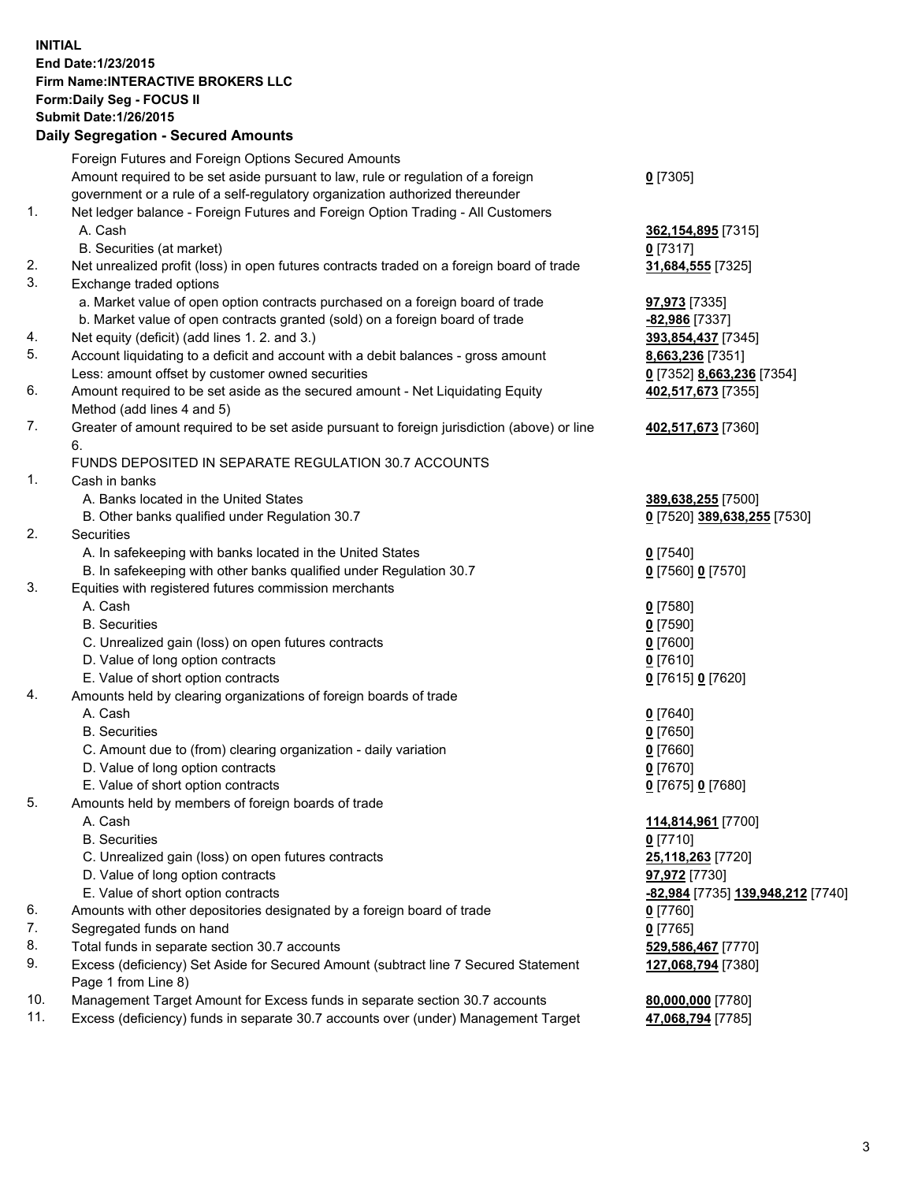## **INITIAL End Date:1/23/2015 Firm Name:INTERACTIVE BROKERS LLC Form:Daily Seg - FOCUS II Submit Date:1/26/2015 Daily Segregation - Secured Amounts**

|     | Daily Ocglegation - Occarea Anioants                                                                       |                                                |
|-----|------------------------------------------------------------------------------------------------------------|------------------------------------------------|
|     | Foreign Futures and Foreign Options Secured Amounts                                                        |                                                |
|     | Amount required to be set aside pursuant to law, rule or regulation of a foreign                           | $0$ [7305]                                     |
|     | government or a rule of a self-regulatory organization authorized thereunder                               |                                                |
| 1.  | Net ledger balance - Foreign Futures and Foreign Option Trading - All Customers                            |                                                |
|     | A. Cash                                                                                                    | 362, 154, 895 [7315]                           |
|     | B. Securities (at market)                                                                                  | $0$ [7317]                                     |
| 2.  | Net unrealized profit (loss) in open futures contracts traded on a foreign board of trade                  | 31,684,555 [7325]                              |
| 3.  | Exchange traded options                                                                                    |                                                |
|     | a. Market value of open option contracts purchased on a foreign board of trade                             | <b>97,973</b> [7335]                           |
|     | b. Market value of open contracts granted (sold) on a foreign board of trade                               | -82,986 [7337]                                 |
| 4.  | Net equity (deficit) (add lines 1.2. and 3.)                                                               | 393,854,437 [7345]                             |
| 5.  | Account liquidating to a deficit and account with a debit balances - gross amount                          | 8,663,236 [7351]                               |
|     | Less: amount offset by customer owned securities                                                           | 0 [7352] 8,663,236 [7354]                      |
| 6.  | Amount required to be set aside as the secured amount - Net Liquidating Equity                             | 402,517,673 [7355]                             |
|     | Method (add lines 4 and 5)                                                                                 |                                                |
| 7.  | Greater of amount required to be set aside pursuant to foreign jurisdiction (above) or line                | 402,517,673 [7360]                             |
|     | 6.                                                                                                         |                                                |
|     | FUNDS DEPOSITED IN SEPARATE REGULATION 30.7 ACCOUNTS                                                       |                                                |
| 1.  | Cash in banks                                                                                              |                                                |
|     | A. Banks located in the United States                                                                      | 389,638,255 [7500]                             |
|     | B. Other banks qualified under Regulation 30.7                                                             | 0 [7520] 389,638,255 [7530]                    |
| 2.  | Securities                                                                                                 |                                                |
|     | A. In safekeeping with banks located in the United States                                                  | $0$ [7540]                                     |
|     | B. In safekeeping with other banks qualified under Regulation 30.7                                         | 0 [7560] 0 [7570]                              |
| 3.  | Equities with registered futures commission merchants                                                      |                                                |
|     | A. Cash                                                                                                    | $0$ [7580]                                     |
|     | <b>B.</b> Securities                                                                                       | $0$ [7590]                                     |
|     | C. Unrealized gain (loss) on open futures contracts                                                        | $0$ [7600]                                     |
|     | D. Value of long option contracts                                                                          | $0$ [7610]                                     |
|     | E. Value of short option contracts                                                                         | 0 [7615] 0 [7620]                              |
| 4.  | Amounts held by clearing organizations of foreign boards of trade                                          |                                                |
|     | A. Cash                                                                                                    | $0$ [7640]                                     |
|     | <b>B.</b> Securities                                                                                       | $0$ [7650]                                     |
|     | C. Amount due to (from) clearing organization - daily variation                                            | $0$ [7660]                                     |
|     | D. Value of long option contracts                                                                          | $0$ [7670]                                     |
|     | E. Value of short option contracts                                                                         | 0 [7675] 0 [7680]                              |
| 5.  | Amounts held by members of foreign boards of trade                                                         |                                                |
|     | A. Cash                                                                                                    | 114,814,961 [7700]                             |
|     | <b>B.</b> Securities                                                                                       | $0$ [7710]                                     |
|     | C. Unrealized gain (loss) on open futures contracts                                                        | 25,118,263 [7720]                              |
|     | D. Value of long option contracts                                                                          | 97,972 [7730]                                  |
|     | E. Value of short option contracts                                                                         | <mark>-82,984</mark> [7735] 139,948,212 [7740] |
| 6.  | Amounts with other depositories designated by a foreign board of trade                                     | 0 [7760]                                       |
| 7.  | Segregated funds on hand                                                                                   | $0$ [7765]                                     |
| 8.  | Total funds in separate section 30.7 accounts                                                              | 529,586,467 [7770]                             |
| 9.  | Excess (deficiency) Set Aside for Secured Amount (subtract line 7 Secured Statement<br>Page 1 from Line 8) | 127,068,794 [7380]                             |
| 10. | Management Target Amount for Excess funds in separate section 30.7 accounts                                | 80,000,000 [7780]                              |
| 11. | Excess (deficiency) funds in separate 30.7 accounts over (under) Management Target                         | 47,068,794 [7785]                              |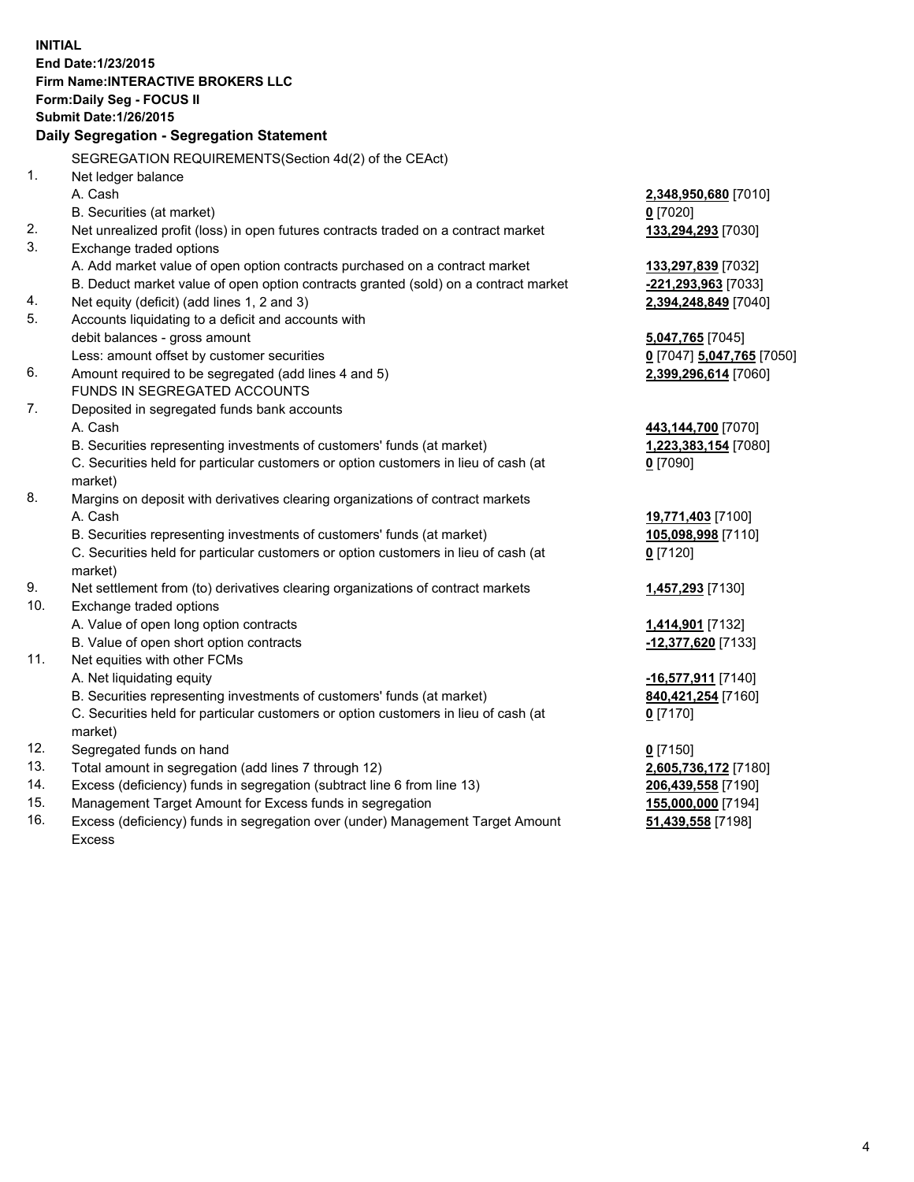**INITIAL End Date:1/23/2015 Firm Name:INTERACTIVE BROKERS LLC Form:Daily Seg - FOCUS II Submit Date:1/26/2015 Daily Segregation - Segregation Statement** SEGREGATION REQUIREMENTS(Section 4d(2) of the CEAct) 1. Net ledger balance A. Cash **2,348,950,680** [7010] B. Securities (at market) **0** [7020] 2. Net unrealized profit (loss) in open futures contracts traded on a contract market **133,294,293** [7030] 3. Exchange traded options A. Add market value of open option contracts purchased on a contract market **133,297,839** [7032] B. Deduct market value of open option contracts granted (sold) on a contract market **-221,293,963** [7033] 4. Net equity (deficit) (add lines 1, 2 and 3) **2,394,248,849** [7040] 5. Accounts liquidating to a deficit and accounts with debit balances - gross amount **5,047,765** [7045] Less: amount offset by customer securities **0** [7047] **5,047,765** [7050] 6. Amount required to be segregated (add lines 4 and 5) **2,399,296,614** [7060] FUNDS IN SEGREGATED ACCOUNTS 7. Deposited in segregated funds bank accounts A. Cash **443,144,700** [7070] B. Securities representing investments of customers' funds (at market) **1,223,383,154** [7080] C. Securities held for particular customers or option customers in lieu of cash (at market) **0** [7090] 8. Margins on deposit with derivatives clearing organizations of contract markets A. Cash **19,771,403** [7100] B. Securities representing investments of customers' funds (at market) **105,098,998** [7110] C. Securities held for particular customers or option customers in lieu of cash (at market) **0** [7120] 9. Net settlement from (to) derivatives clearing organizations of contract markets **1,457,293** [7130] 10. Exchange traded options A. Value of open long option contracts **1,414,901** [7132] B. Value of open short option contracts **-12,377,620** [7133] 11. Net equities with other FCMs A. Net liquidating equity **-16,577,911** [7140] B. Securities representing investments of customers' funds (at market) **840,421,254** [7160] C. Securities held for particular customers or option customers in lieu of cash (at market) **0** [7170] 12. Segregated funds on hand **0** [7150] 13. Total amount in segregation (add lines 7 through 12) **2,605,736,172** [7180] 14. Excess (deficiency) funds in segregation (subtract line 6 from line 13) **206,439,558** [7190] 15. Management Target Amount for Excess funds in segregation **155,000,000** [7194]

16. Excess (deficiency) funds in segregation over (under) Management Target Amount Excess

**51,439,558** [7198]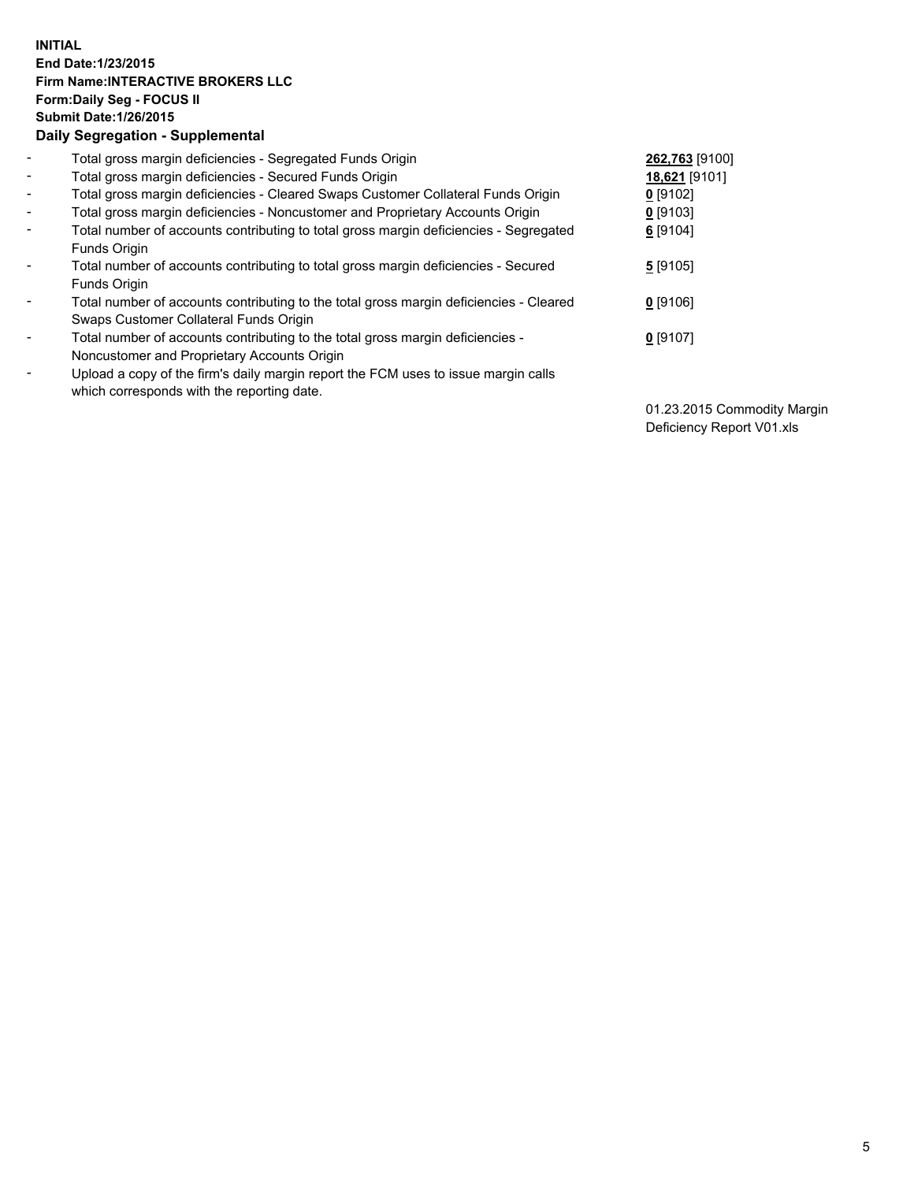## **INITIAL End Date:1/23/2015 Firm Name:INTERACTIVE BROKERS LLC Form:Daily Seg - FOCUS II Submit Date:1/26/2015 Daily Segregation - Supplemental**

| $\blacksquare$           | Total gross margin deficiencies - Segregated Funds Origin                              | 262,763 [9100] |
|--------------------------|----------------------------------------------------------------------------------------|----------------|
| $\sim$                   | Total gross margin deficiencies - Secured Funds Origin                                 | 18,621 [9101]  |
| $\blacksquare$           | Total gross margin deficiencies - Cleared Swaps Customer Collateral Funds Origin       | $0$ [9102]     |
| $\blacksquare$           | Total gross margin deficiencies - Noncustomer and Proprietary Accounts Origin          | $0$ [9103]     |
| $\blacksquare$           | Total number of accounts contributing to total gross margin deficiencies - Segregated  | $6$ [9104]     |
|                          | Funds Origin                                                                           |                |
| $\blacksquare$           | Total number of accounts contributing to total gross margin deficiencies - Secured     | 5[9105]        |
|                          | <b>Funds Origin</b>                                                                    |                |
| $\blacksquare$           | Total number of accounts contributing to the total gross margin deficiencies - Cleared | $0$ [9106]     |
|                          | Swaps Customer Collateral Funds Origin                                                 |                |
| $\overline{\phantom{a}}$ | Total number of accounts contributing to the total gross margin deficiencies -         | $0$ [9107]     |
|                          | Noncustomer and Proprietary Accounts Origin                                            |                |
| $\overline{\phantom{a}}$ | Upload a copy of the firm's daily margin report the FCM uses to issue margin calls     |                |
|                          | which corresponds with the reporting date.                                             |                |

01.23.2015 Commodity Margin Deficiency Report V01.xls